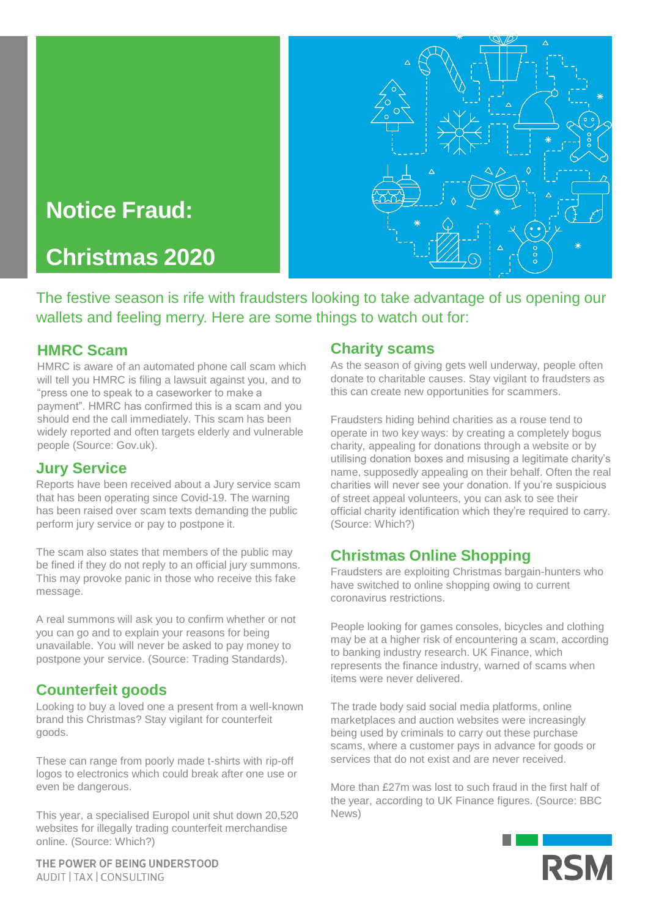# **Notice Fraud:**

**Christmas 2020**



The festive season is rife with fraudsters looking to take advantage of us opening our wallets and feeling merry. Here are some things to watch out for:

#### **HMRC Scam**

HMRC is aware of an automated phone call scam which will tell you HMRC is filing a lawsuit against you, and to "press one to speak to a caseworker to make a payment". HMRC has confirmed this is a scam and you should end the call immediately. This scam has been widely reported and often targets elderly and vulnerable people (Source: Gov.uk).

## **Jury Service**

Reports have been received about a Jury service scam that has been operating since Covid-19. The warning has been raised over scam texts demanding the public perform jury service or pay to postpone it.

The scam also states that members of the public may be fined if they do not reply to an official jury summons. This may provoke panic in those who receive this fake message.

A real summons will ask you to confirm whether or not you can go and to explain your reasons for being unavailable. You will never be asked to pay money to postpone your service. (Source: Trading Standards).

## **Counterfeit goods**

Looking to buy a loved one a present from a well-known brand this Christmas? Stay vigilant for counterfeit goods.

These can range from poorly made t-shirts with rip-off logos to electronics which could break after one use or even be dangerous.

This year, a specialised Europol unit shut down 20,520 websites for illegally trading counterfeit merchandise online. (Source: Which?)

## **Charity scams**

As the season of giving gets well underway, people often donate to charitable causes. Stay vigilant to fraudsters as this can create new opportunities for scammers.

Fraudsters hiding behind charities as a rouse tend to operate in two key ways: by creating a completely bogus charity, appealing for donations through a website or by utilising donation boxes and misusing a legitimate charity's name, supposedly appealing on their behalf. Often the real charities will never see your donation. If you're suspicious of street appeal volunteers, you can ask to see their official charity identification which they're required to carry. (Source: Which?)

## **Christmas Online Shopping**

Fraudsters are exploiting Christmas bargain-hunters who have switched to online shopping owing to current coronavirus restrictions.

People looking for games consoles, bicycles and clothing may be at a higher risk of encountering a scam, according to banking industry research. UK Finance, which represents the finance industry, warned of scams when items were never delivered.

The trade body said social media platforms, online marketplaces and auction websites were increasingly being used by criminals to carry out these purchase scams, where a customer pays in advance for goods or services that do not exist and are never received.

More than £27m was lost to such fraud in the first half of the year, according to UK Finance figures. (Source: BBC News)



THE POWER OF BEING UNDERSTOOD AUDIT | TAX | CONSULTING